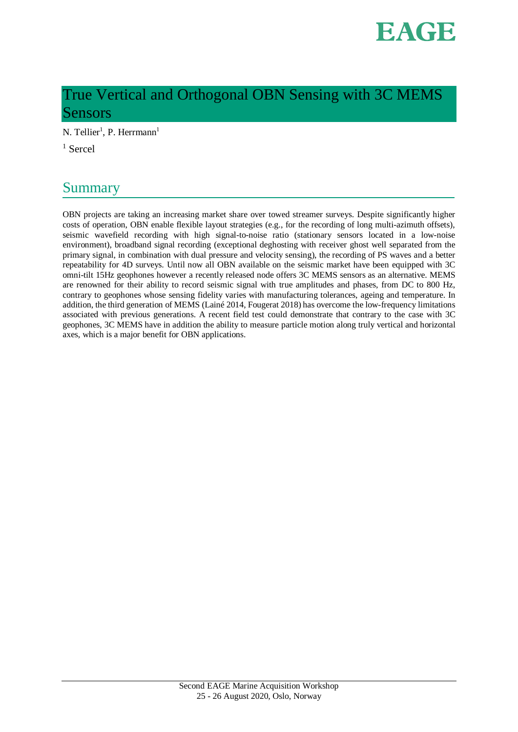

# True Vertical and Orthogonal OBN Sensing with 3C MEMS Sensors

N. Tellier<sup>1</sup>, P. Herrmann<sup>1</sup>

 $<sup>1</sup>$  Sercel</sup>

## Summary

OBN projects are taking an increasing market share over towed streamer surveys. Despite significantly higher costs of operation, OBN enable flexible layout strategies (e.g., for the recording of long multi-azimuth offsets), seismic wavefield recording with high signal-to-noise ratio (stationary sensors located in a low-noise environment), broadband signal recording (exceptional deghosting with receiver ghost well separated from the primary signal, in combination with dual pressure and velocity sensing), the recording of PS waves and a better repeatability for 4D surveys. Until now all OBN available on the seismic market have been equipped with 3C omni-tilt 15Hz geophones however a recently released node offers 3C MEMS sensors as an alternative. MEMS are renowned for their ability to record seismic signal with true amplitudes and phases, from DC to 800 Hz, contrary to geophones whose sensing fidelity varies with manufacturing tolerances, ageing and temperature. In addition, the third generation of MEMS (Lainé 2014, Fougerat 2018) has overcome the low-frequency limitations associated with previous generations. A recent field test could demonstrate that contrary to the case with 3C geophones, 3C MEMS have in addition the ability to measure particle motion along truly vertical and horizontal axes, which is a major benefit for OBN applications.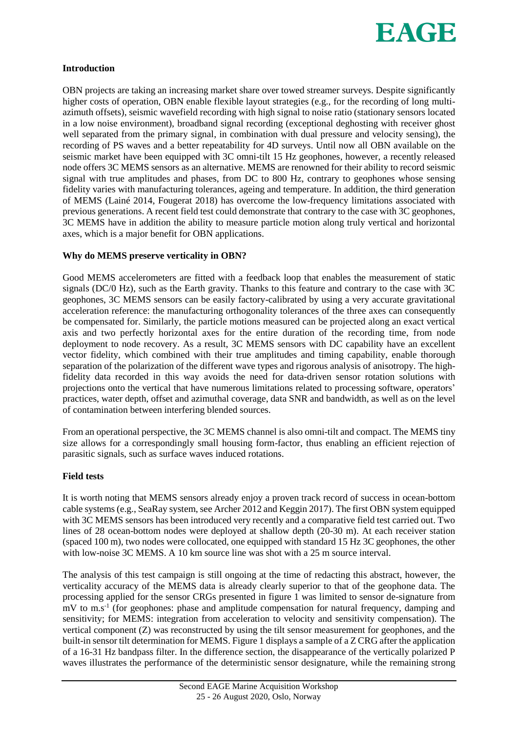

## **Introduction**

OBN projects are taking an increasing market share over towed streamer surveys. Despite significantly higher costs of operation, OBN enable flexible layout strategies (e.g., for the recording of long multiazimuth offsets), seismic wavefield recording with high signal to noise ratio (stationary sensors located in a low noise environment), broadband signal recording (exceptional deghosting with receiver ghost well separated from the primary signal, in combination with dual pressure and velocity sensing), the recording of PS waves and a better repeatability for 4D surveys. Until now all OBN available on the seismic market have been equipped with 3C omni-tilt 15 Hz geophones, however, a recently released node offers 3C MEMS sensors as an alternative. MEMS are renowned for their ability to record seismic signal with true amplitudes and phases, from DC to 800 Hz, contrary to geophones whose sensing fidelity varies with manufacturing tolerances, ageing and temperature. In addition, the third generation of MEMS (Lainé 2014, Fougerat 2018) has overcome the low-frequency limitations associated with previous generations. A recent field test could demonstrate that contrary to the case with 3C geophones, 3C MEMS have in addition the ability to measure particle motion along truly vertical and horizontal axes, which is a major benefit for OBN applications.

## **Why do MEMS preserve verticality in OBN?**

Good MEMS accelerometers are fitted with a feedback loop that enables the measurement of static signals (DC/0 Hz), such as the Earth gravity. Thanks to this feature and contrary to the case with 3C geophones, 3C MEMS sensors can be easily factory-calibrated by using a very accurate gravitational acceleration reference: the manufacturing orthogonality tolerances of the three axes can consequently be compensated for. Similarly, the particle motions measured can be projected along an exact vertical axis and two perfectly horizontal axes for the entire duration of the recording time, from node deployment to node recovery. As a result, 3C MEMS sensors with DC capability have an excellent vector fidelity, which combined with their true amplitudes and timing capability, enable thorough separation of the polarization of the different wave types and rigorous analysis of anisotropy. The highfidelity data recorded in this way avoids the need for data-driven sensor rotation solutions with projections onto the vertical that have numerous limitations related to processing software, operators' practices, water depth, offset and azimuthal coverage, data SNR and bandwidth, as well as on the level of contamination between interfering blended sources.

From an operational perspective, the 3C MEMS channel is also omni-tilt and compact. The MEMS tiny size allows for a correspondingly small housing form-factor, thus enabling an efficient rejection of parasitic signals, such as surface waves induced rotations.

#### **Field tests**

It is worth noting that MEMS sensors already enjoy a proven track record of success in ocean-bottom cable systems (e.g., SeaRay system, see Archer 2012 and Keggin 2017). The first OBN system equipped with 3C MEMS sensors has been introduced very recently and a comparative field test carried out. Two lines of 28 ocean-bottom nodes were deployed at shallow depth (20-30 m). At each receiver station (spaced 100 m), two nodes were collocated, one equipped with standard 15 Hz 3C geophones, the other with low-noise 3C MEMS. A 10 km source line was shot with a 25 m source interval.

The analysis of this test campaign is still ongoing at the time of redacting this abstract, however, the verticality accuracy of the MEMS data is already clearly superior to that of the geophone data. The processing applied for the sensor CRGs presented in figure 1 was limited to sensor de-signature from mV to m.s<sup>-1</sup> (for geophones: phase and amplitude compensation for natural frequency, damping and sensitivity; for MEMS: integration from acceleration to velocity and sensitivity compensation). The vertical component (Z) was reconstructed by using the tilt sensor measurement for geophones, and the built-in sensor tilt determination for MEMS. Figure 1 displays a sample of a Z CRG after the application of a 16-31 Hz bandpass filter. In the difference section, the disappearance of the vertically polarized P waves illustrates the performance of the deterministic sensor designature, while the remaining strong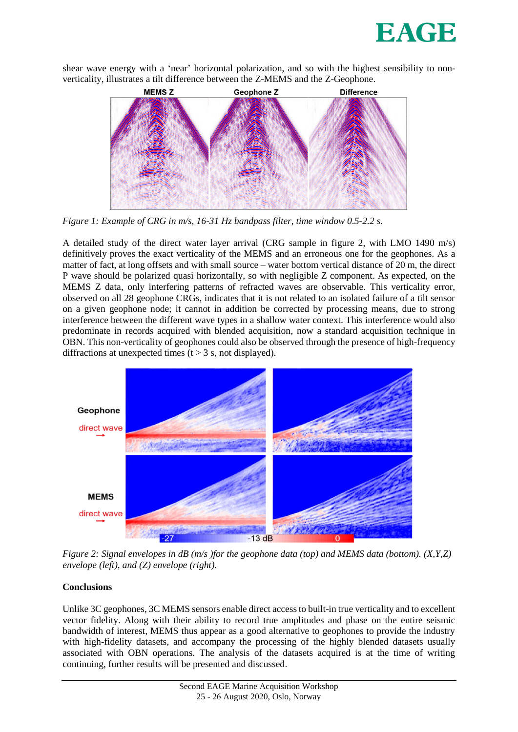

shear wave energy with a 'near' horizontal polarization, and so with the highest sensibility to nonverticality, illustrates a tilt difference between the Z-MEMS and the Z-Geophone.



*Figure 1: Example of CRG in m/s, 16-31 Hz bandpass filter, time window 0.5-2.2 s.* 

A detailed study of the direct water layer arrival (CRG sample in figure 2, with LMO 1490 m/s) definitively proves the exact verticality of the MEMS and an erroneous one for the geophones. As a matter of fact, at long offsets and with small source – water bottom vertical distance of 20 m, the direct P wave should be polarized quasi horizontally, so with negligible Z component. As expected, on the MEMS Z data, only interfering patterns of refracted waves are observable. This verticality error, observed on all 28 geophone CRGs, indicates that it is not related to an isolated failure of a tilt sensor on a given geophone node; it cannot in addition be corrected by processing means, due to strong interference between the different wave types in a shallow water context. This interference would also predominate in records acquired with blended acquisition, now a standard acquisition technique in OBN. This non-verticality of geophones could also be observed through the presence of high-frequency diffractions at unexpected times ( $t > 3$  s, not displayed).



*Figure 2: Signal envelopes in dB (m/s )for the geophone data (top) and MEMS data (bottom). (X,Y,Z) envelope (left), and (Z) envelope (right).*

## **Conclusions**

Unlike 3C geophones, 3C MEMS sensors enable direct access to built-in true verticality and to excellent vector fidelity. Along with their ability to record true amplitudes and phase on the entire seismic bandwidth of interest, MEMS thus appear as a good alternative to geophones to provide the industry with high-fidelity datasets, and accompany the processing of the highly blended datasets usually associated with OBN operations. The analysis of the datasets acquired is at the time of writing continuing, further results will be presented and discussed.